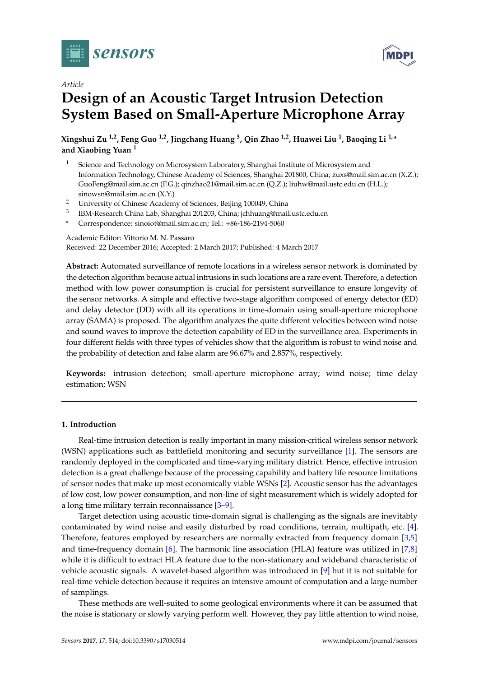



# **Design of an Acoustic Target Intrusion Detection System Based on Small-Aperture Microphone Array**

**Xingshui Zu 1,2, Feng Guo 1,2, Jingchang Huang <sup>3</sup> , Qin Zhao 1,2, Huawei Liu <sup>1</sup> , Baoqing Li 1,\* and Xiaobing Yuan <sup>1</sup>**

- <sup>1</sup> Science and Technology on Microsystem Laboratory, Shanghai Institute of Microsystem and Information Technology, Chinese Academy of Sciences, Shanghai 201800, China; zuxs@mail.sim.ac.cn (X.Z.); GuoFeng@mail.sim.ac.cn (F.G.); qinzhao21@mail.sim.ac.cn (Q.Z.); liuhw@mail.ustc.edu.cn (H.L.); sinowsn@mail.sim.ac.cn (X.Y.)
- <sup>2</sup> University of Chinese Academy of Sciences, Beijing 100049, China
- 3 IBM-Research China Lab, Shanghai 201203, China; jchhuang@mail.ustc.edu.cn
- **\*** Correspondence: sinoiot@mail.sim.ac.cn; Tel.: +86-186-2194-5060

Academic Editor: Vittorio M. N. Passaro Received: 22 December 2016; Accepted: 2 March 2017; Published: 4 March 2017

**Abstract:** Automated surveillance of remote locations in a wireless sensor network is dominated by the detection algorithm because actual intrusions in such locations are a rare event. Therefore, a detection method with low power consumption is crucial for persistent surveillance to ensure longevity of the sensor networks. A simple and effective two-stage algorithm composed of energy detector (ED) and delay detector (DD) with all its operations in time-domain using small-aperture microphone array (SAMA) is proposed. The algorithm analyzes the quite different velocities between wind noise and sound waves to improve the detection capability of ED in the surveillance area. Experiments in four different fields with three types of vehicles show that the algorithm is robust to wind noise and the probability of detection and false alarm are 96.67% and 2.857%, respectively.

**Keywords:** intrusion detection; small-aperture microphone array; wind noise; time delay estimation; WSN

# **1. Introduction**

Real-time intrusion detection is really important in many mission-critical wireless sensor network (WSN) applications such as battlefield monitoring and security surveillance [\[1\]](#page-8-0). The sensors are randomly deployed in the complicated and time-varying military district. Hence, effective intrusion detection is a great challenge because of the processing capability and battery life resource limitations of sensor nodes that make up most economically viable WSNs [\[2\]](#page-8-1). Acoustic sensor has the advantages of low cost, low power consumption, and non-line of sight measurement which is widely adopted for a long time military terrain reconnaissance [\[3](#page-8-2)[–9\]](#page-9-0).

Target detection using acoustic time-domain signal is challenging as the signals are inevitably contaminated by wind noise and easily disturbed by road conditions, terrain, multipath, etc. [\[4\]](#page-8-3). Therefore, features employed by researchers are normally extracted from frequency domain [\[3](#page-8-2)[,5\]](#page-8-4) and time-frequency domain [\[6\]](#page-9-1). The harmonic line association (HLA) feature was utilized in [\[7](#page-9-2)[,8\]](#page-9-3) while it is difficult to extract HLA feature due to the non-stationary and wideband characteristic of vehicle acoustic signals. A wavelet-based algorithm was introduced in [\[9\]](#page-9-0) but it is not suitable for real-time vehicle detection because it requires an intensive amount of computation and a large number of samplings.

These methods are well-suited to some geological environments where it can be assumed that the noise is stationary or slowly varying perform well. However, they pay little attention to wind noise,

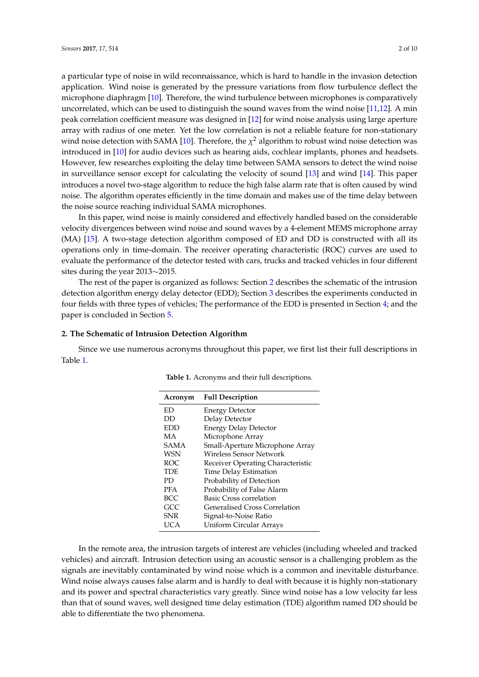a particular type of noise in wild reconnaissance, which is hard to handle in the invasion detection application. Wind noise is generated by the pressure variations from flow turbulence deflect the microphone diaphragm [\[10\]](#page-9-4). Therefore, the wind turbulence between microphones is comparatively uncorrelated, which can be used to distinguish the sound waves from the wind noise [\[11](#page-9-5)[,12\]](#page-9-6). A min peak correlation coefficient measure was designed in [\[12\]](#page-9-6) for wind noise analysis using large aperture array with radius of one meter. Yet the low correlation is not a reliable feature for non-stationary wind noise detection with SAMA [\[10\]](#page-9-4). Therefore, the  $\chi^2$  algorithm to robust wind noise detection was introduced in [\[10\]](#page-9-4) for audio devices such as hearing aids, cochlear implants, phones and headsets. However, few researches exploiting the delay time between SAMA sensors to detect the wind noise in surveillance sensor except for calculating the velocity of sound [\[13\]](#page-9-7) and wind [\[14\]](#page-9-8). This paper introduces a novel two-stage algorithm to reduce the high false alarm rate that is often caused by wind noise. The algorithm operates efficiently in the time domain and makes use of the time delay between the noise source reaching individual SAMA microphones.

In this paper, wind noise is mainly considered and effectively handled based on the considerable velocity divergences between wind noise and sound waves by a 4-element MEMS microphone array (MA) [\[15\]](#page-9-9). A two-stage detection algorithm composed of ED and DD is constructed with all its operations only in time-domain. The receiver operating characteristic (ROC) curves are used to evaluate the performance of the detector tested with cars, trucks and tracked vehicles in four different sites during the year 2013∼2015.

The rest of the paper is organized as follows: Section [2](#page-1-0) describes the schematic of the intrusion detection algorithm energy delay detector (EDD); Section [3](#page-4-0) describes the experiments conducted in four fields with three types of vehicles; The performance of the EDD is presented in Section [4;](#page-5-0) and the paper is concluded in Section [5.](#page-8-5)

## <span id="page-1-0"></span>**2. The Schematic of Intrusion Detection Algorithm**

<span id="page-1-1"></span>Since we use numerous acronyms throughout this paper, we first list their full descriptions in Table [1.](#page-1-1)

| Acronym    | <b>Full Description</b>           |  |  |
|------------|-----------------------------------|--|--|
| ED         | Energy Detector                   |  |  |
| DD         | Delay Detector                    |  |  |
| <b>EDD</b> | <b>Energy Delay Detector</b>      |  |  |
| MA         | Microphone Array                  |  |  |
| SAMA       | Small-Aperture Microphone Array   |  |  |
| <b>WSN</b> | Wireless Sensor Network           |  |  |
| ROC.       | Receiver Operating Characteristic |  |  |
| <b>TDE</b> | <b>Time Delay Estimation</b>      |  |  |
| PD.        | Probability of Detection          |  |  |
| <b>PFA</b> | Probability of False Alarm        |  |  |
| <b>BCC</b> | Basic Cross correlation           |  |  |
| GCC        | Generalised Cross Correlation     |  |  |
| <b>SNR</b> | Signal-to-Noise Ratio             |  |  |
| UCA        | Uniform Circular Arrays           |  |  |

**Table 1.** Acronyms and their full descriptions.

In the remote area, the intrusion targets of interest are vehicles (including wheeled and tracked vehicles) and aircraft. Intrusion detection using an acoustic sensor is a challenging problem as the signals are inevitably contaminated by wind noise which is a common and inevitable disturbance. Wind noise always causes false alarm and is hardly to deal with because it is highly non-stationary and its power and spectral characteristics vary greatly. Since wind noise has a low velocity far less than that of sound waves, well designed time delay estimation (TDE) algorithm named DD should be able to differentiate the two phenomena.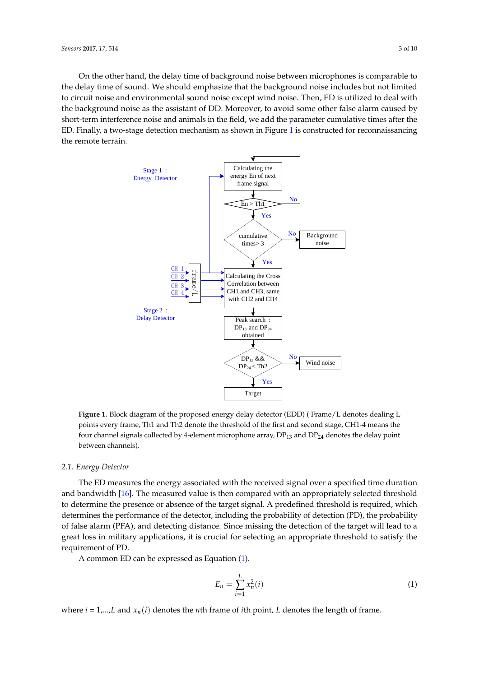On the other hand, the delay time of background noise between microphones is comparable to the delay time of sound. We should emphasize that the background noise includes but not limited to circuit noise and environmental sound noise except wind noise. Then, ED is utilized to deal with the background noise as the assistant of DD. Moreover, to avoid some other false alarm caused by short-term interference noise and animals in the field, we add the parameter cumulative times after the ED. Finally, a two-stage detection mechanism as shown in Figure [1](#page-2-0) is constructed for reconnaissancing the remote terrain.

<span id="page-2-0"></span>

**Figure 1.** Block diagram of the proposed energy delay detector (EDD) ( Frame/L denotes dealing L points every frame, Th1 and Th2 denote the threshold of the first and second stage, CH1-4 means the four channel signals collected by 4-element microphone array,  $DP_{13}$  and  $DP_{24}$  denotes the delay point between channels).

## *2.1. Energy Detector*

The ED measures the energy associated with the received signal over a specified time duration and bandwidth [\[16\]](#page-9-10). The measured value is then compared with an appropriately selected threshold to determine the presence or absence of the target signal. A predefined threshold is required, which determines the performance of the detector, including the probability of detection (PD), the probability of false alarm (PFA), and detecting distance. Since missing the detection of the target will lead to a great loss in military applications, it is crucial for selecting an appropriate threshold to satisfy the requirement of PD.

A common ED can be expressed as Equation [\(1\)](#page-2-1).

<span id="page-2-1"></span>
$$
E_n = \sum_{i=1}^{L} x_n^2(i) \tag{1}
$$

where  $i = 1,...,L$  and  $x_n(i)$  denotes the *n*th frame of *i*th point, *L* denotes the length of frame.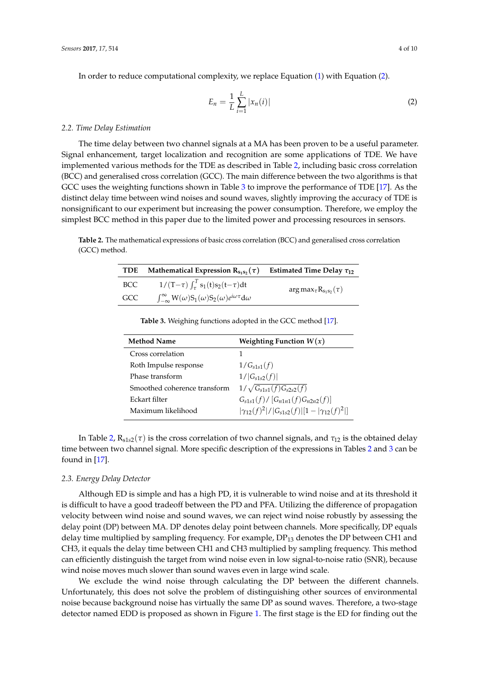In order to reduce computational complexity, we replace Equation [\(1\)](#page-2-1) with Equation [\(2\)](#page-3-0).

<span id="page-3-0"></span>
$$
E_n = \frac{1}{L} \sum_{i=1}^{L} |x_n(i)| \tag{2}
$$

#### *2.2. Time Delay Estimation*

The time delay between two channel signals at a MA has been proven to be a useful parameter. Signal enhancement, target localization and recognition are some applications of TDE. We have implemented various methods for the TDE as described in Table [2,](#page-3-1) including basic cross correlation (BCC) and generalised cross correlation (GCC). The main difference between the two algorithms is that GCC uses the weighting functions shown in Table [3](#page-3-2) to improve the performance of TDE [\[17\]](#page-9-11). As the distinct delay time between wind noises and sound waves, slightly improving the accuracy of TDE is nonsignificant to our experiment but increasing the power consumption. Therefore, we employ the simplest BCC method in this paper due to the limited power and processing resources in sensors.

<span id="page-3-1"></span>**Table 2.** The mathematical expressions of basic cross correlation (BCC) and generalised cross correlation (GCC) method.

| TDE | Mathematical Expression $R_{s_1s_2}(\tau)$                                      | Estimated Time Delay $\tau_{12}$  |
|-----|---------------------------------------------------------------------------------|-----------------------------------|
| BCC | $1/(T-\tau)\int_{\tau}^{T} s_1(t)s_2(t-\tau)dt$                                 | $arg max_{\tau} R_{s_1s_2}(\tau)$ |
| GCC | $\int_{-\infty}^{\infty} W(\omega)S_1(\omega)S_2(\omega)e^{i\omega\tau}d\omega$ |                                   |

**Table 3.** Weighing functions adopted in the GCC method [\[17\]](#page-9-11).

<span id="page-3-2"></span>

| <b>Method Name</b>           | Weighting Function $W(x)$                                |  |  |
|------------------------------|----------------------------------------------------------|--|--|
| Cross correlation            |                                                          |  |  |
| Roth Impulse response        | $1/G_{s1s1}(f)$                                          |  |  |
| Phase transform              | $1/ G_{s1s2}(f) $                                        |  |  |
| Smoothed coherence transform | $1/\sqrt{G_{s1s1}(f)G_{s2s2}(f)}$                        |  |  |
| Eckart filter                | $G_{s1s1}(f) / [G_{n1n1}(f)G_{n2n2}(f)]$                 |  |  |
| Maximum likelihood           | $ \gamma_{12}(f)^2 / G_{s1s2}(f)  1- \gamma_{12}(f)^2  $ |  |  |

In Table [2,](#page-3-1)  $R_{s1s2}(\tau)$  is the cross correlation of two channel signals, and  $\tau_{12}$  is the obtained delay time between two channel signal. More specific description of the expressions in Tables [2](#page-3-1) and [3](#page-3-2) can be found in [\[17\]](#page-9-11).

## *2.3. Energy Delay Detector*

Although ED is simple and has a high PD, it is vulnerable to wind noise and at its threshold it is difficult to have a good tradeoff between the PD and PFA. Utilizing the difference of propagation velocity between wind noise and sound waves, we can reject wind noise robustly by assessing the delay point (DP) between MA. DP denotes delay point between channels. More specifically, DP equals delay time multiplied by sampling frequency. For example,  $DP_{13}$  denotes the DP between CH1 and CH3, it equals the delay time between CH1 and CH3 multiplied by sampling frequency. This method can efficiently distinguish the target from wind noise even in low signal-to-noise ratio (SNR), because wind noise moves much slower than sound waves even in large wind scale.

We exclude the wind noise through calculating the DP between the different channels. Unfortunately, this does not solve the problem of distinguishing other sources of environmental noise because background noise has virtually the same DP as sound waves. Therefore, a two-stage detector named EDD is proposed as shown in Figure [1.](#page-2-0) The first stage is the ED for finding out the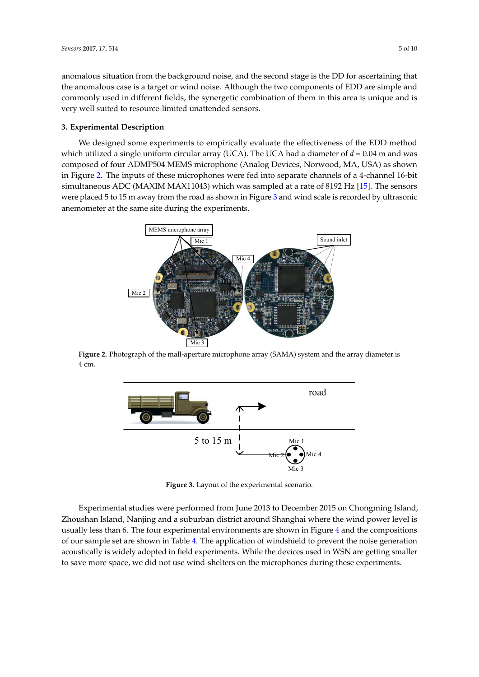anomalous situation from the background noise, and the second stage is the DD for ascertaining that the anomalous case is a target or wind noise. Although the two components of EDD are simple and commonly used in different fields, the synergetic combination of them in this area is unique and is very well suited to resource-limited unattended sensors.

## <span id="page-4-0"></span>**3. Experimental Description**

We designed some experiments to empirically evaluate the effectiveness of the EDD method which utilized a single uniform circular array (UCA). The UCA had a diameter of  $d = 0.04$  m and was composed of four ADMP504 MEMS microphone (Analog Devices, Norwood, MA, USA) as shown in Figure [2.](#page-4-1) The inputs of these microphones were fed into separate channels of a 4-channel 16-bit simultaneous ADC (MAXIM MAX11043) which was sampled at a rate of 8192 Hz [\[15\]](#page-9-9). The sensors were placed 5 to 15 m away from the road as shown in Figure [3](#page-4-2) and wind scale is recorded by ultrasonic anemometer at the same site during the experiments.

<span id="page-4-1"></span>

<span id="page-4-2"></span>**Figure 2.** Photograph of the mall-aperture microphone array (SAMA) system and the array diameter is 4 cm.



**Figure 3.** Layout of the experimental scenario.

Experimental studies were performed from June 2013 to December 2015 on Chongming Island, Zhoushan Island, Nanjing and a suburban district around Shanghai where the wind power level is usually less than 6. The four experimental environments are shown in Figure [4](#page-5-1) and the compositions of our sample set are shown in Table [4.](#page-5-2) The application of windshield to prevent the noise generation acoustically is widely adopted in field experiments. While the devices used in WSN are getting smaller to save more space, we did not use wind-shelters on the microphones during these experiments.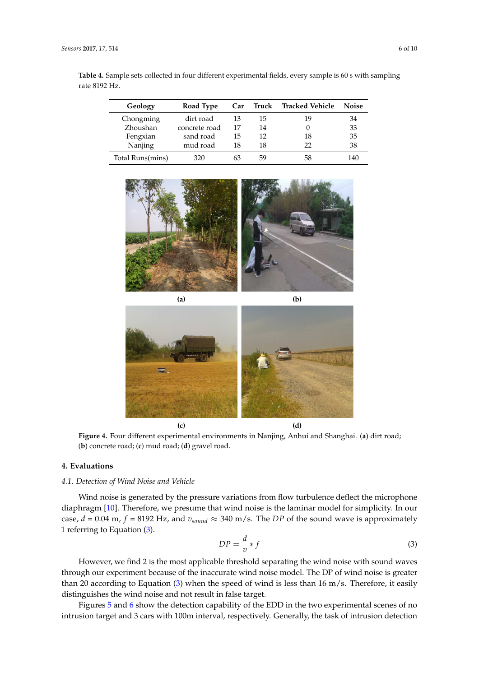<span id="page-5-2"></span>**Table 4.** Sample sets collected in four different experimental fields, every sample is 60 s with sampling rate 8192 Hz.

| Geology          | Road Type     | Car | Truck | Tracked Vehicle | <b>Noise</b> |
|------------------|---------------|-----|-------|-----------------|--------------|
| Chongming        | dirt road     | 13  | 15    | 19              | 34           |
| Zhoushan         | concrete road | 17  | 14    |                 | 33           |
| Fengxian         | sand road     | 15  | 12    | 18              | 35           |
| Nanjing          | mud road      | 18  | 18    | フフ              | 38           |
| Total Runs(mins) | 320           | 63  | 59    | 58              | 140          |

<span id="page-5-1"></span>



**Figure 4.** Four different experimental environments in Nanjing, Anhui and Shanghai. (**a**) dirt road; (**b**) concrete road; (**c**) mud road; (**d**) gravel road.

## <span id="page-5-0"></span>**4. Evaluations**

# *4.1. Detection of Wind Noise and Vehicle*

Wind noise is generated by the pressure variations from flow turbulence deflect the microphone diaphragm [\[10\]](#page-9-4). Therefore, we presume that wind noise is the laminar model for simplicity. In our case,  $d = 0.04$  m,  $f = 8192$  Hz, and  $v_{sound} \approx 340$  m/s. The *DP* of the sound wave is approximately 1 referring to Equation [\(3\)](#page-5-3).

<span id="page-5-3"></span>
$$
DP = \frac{d}{v} * f \tag{3}
$$

However, we find 2 is the most applicable threshold separating the wind noise with sound waves through our experiment because of the inaccurate wind noise model. The DP of wind noise is greater than 20 according to Equation [\(3\)](#page-5-3) when the speed of wind is less than 16 m/s. Therefore, it easily distinguishes the wind noise and not result in false target.

Figures [5](#page-6-0) and [6](#page-6-1) show the detection capability of the EDD in the two experimental scenes of no intrusion target and 3 cars with 100m interval, respectively. Generally, the task of intrusion detection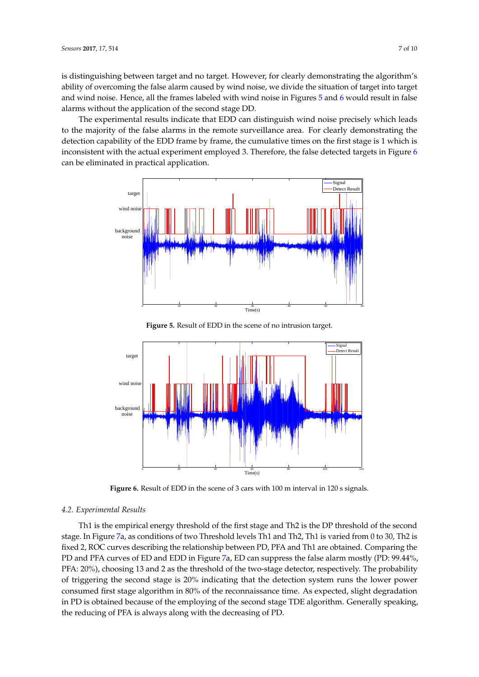is distinguishing between target and no target. However, for clearly demonstrating the algorithm's ability of overcoming the false alarm caused by wind noise, we divide the situation of target into target and wind noise. Hence, all the frames labeled with wind noise in Figures  $5$  and  $6$  would result in false alarms without the application of the second stage DD.

The experimental results indicate that EDD can distinguish wind noise precisely which leads to the majority of the false alarms in the remote surveillance area. For clearly demonstrating the detection capability of the EDD frame by frame, the cumulative times on the first stage is 1 which is inconsistent with the actual experiment employed 3. Therefore, the false detected targets in Figure [6](#page-6-1) can be eliminated in practical application.

<span id="page-6-0"></span>

**Figure 5.** Result of EDD in the scene of no intrusion target.

<span id="page-6-1"></span>

Figure 6. Result of EDD in the scene of 3 cars with 100 m interval in 120 s signals.

## *4.2. Experimental Results*

Th1 is the empirical energy threshold of the first stage and Th2 is the DP threshold of the second stage. In Figure [7a](#page-7-0), as conditions of two Threshold levels Th1 and Th2, Th1 is varied from 0 to 30, Th2 is fixed 2, ROC curves describing the relationship between PD, PFA and Th1 are obtained. Comparing the PD and PFA curves of ED and EDD in Figure [7a](#page-7-0), ED can suppress the false alarm mostly (PD: 99.44%, PFA: 20%), choosing 13 and 2 as the threshold of the two-stage detector, respectively. The probability of triggering the second stage is 20% indicating that the detection system runs the lower power consumed first stage algorithm in 80% of the reconnaissance time. As expected, slight degradation in PD is obtained because of the employing of the second stage TDE algorithm. Generally speaking, the reducing of PFA is always along with the decreasing of PD.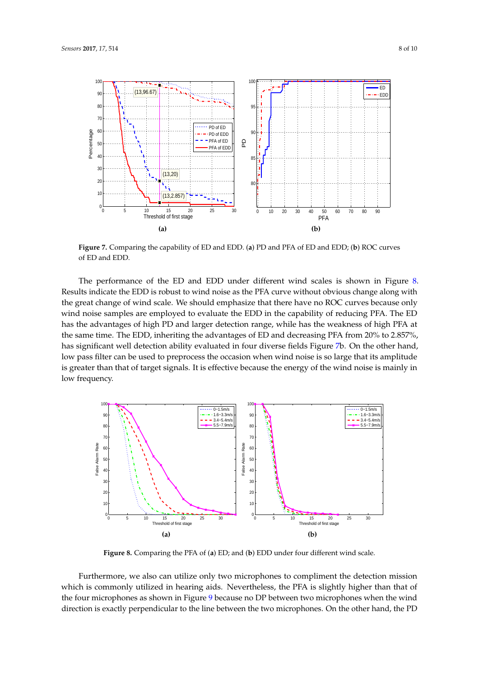<span id="page-7-0"></span>

**Figure 7.** Comparing the capability of ED and EDD. (**a**) PD and PFA of ED and EDD; (**b**) ROC curves of ED and EDD.

The performance of the ED and EDD under different wind scales is shown in Figure [8.](#page-7-1) Results indicate the EDD is robust to wind noise as the PFA curve without obvious change along with the great change of wind scale. We should emphasize that there have no ROC curves because only wind noise samples are employed to evaluate the EDD in the capability of reducing PFA. The ED has the advantages of high PD and larger detection range, while has the weakness of high PFA at the same time. The EDD, inheriting the advantages of ED and decreasing PFA from 20% to 2.857%, has significant well detection ability evaluated in four diverse fields Figure [7b](#page-7-0). On the other hand, low pass filter can be used to preprocess the occasion when wind noise is so large that its amplitude is greater than that of target signals. It is effective because the energy of the wind noise is mainly in low frequency.

<span id="page-7-1"></span>

**Figure 8.** Comparing the PFA of (**a**) ED; and (**b**) EDD under four different wind scale.

Furthermore, we also can utilize only two microphones to compliment the detection mission which is commonly utilized in hearing aids. Nevertheless, the PFA is slightly higher than that of the four microphones as shown in Figure [9](#page-8-6) because no DP between two microphones when the wind direction is exactly perpendicular to the line between the two microphones. On the other hand, the PD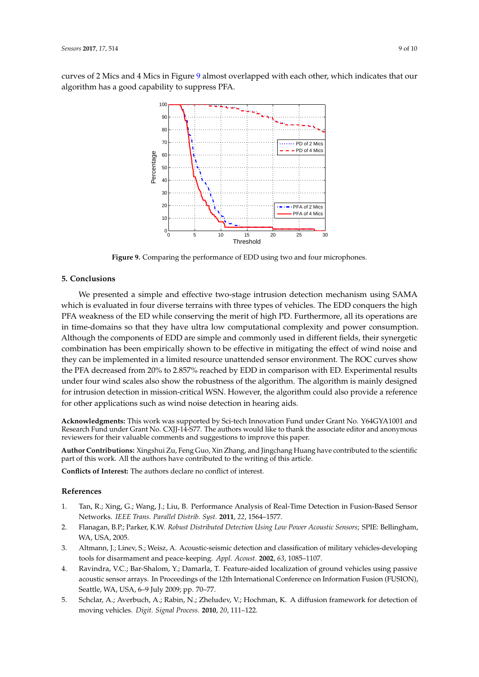<span id="page-8-6"></span>curves of 2 Mics and 4 Mics in Figure [9](#page-8-6) almost overlapped with each other, which indicates that our algorithm has a good capability to suppress PFA.



**Figure 9.** Comparing the performance of EDD using two and four microphones.

## <span id="page-8-5"></span>**5. Conclusions**

We presented a simple and effective two-stage intrusion detection mechanism using SAMA which is evaluated in four diverse terrains with three types of vehicles. The EDD conquers the high PFA weakness of the ED while conserving the merit of high PD. Furthermore, all its operations are in time-domains so that they have ultra low computational complexity and power consumption. Although the components of EDD are simple and commonly used in different fields, their synergetic combination has been empirically shown to be effective in mitigating the effect of wind noise and they can be implemented in a limited resource unattended sensor environment. The ROC curves show the PFA decreased from 20% to 2.857% reached by EDD in comparison with ED. Experimental results under four wind scales also show the robustness of the algorithm. The algorithm is mainly designed for intrusion detection in mission-critical WSN. However, the algorithm could also provide a reference for other applications such as wind noise detection in hearing aids.

**Acknowledgments:** This work was supported by Sci-tech Innovation Fund under Grant No. Y64GYA1001 and Research Fund under Grant No. CXJJ-14-S77. The authors would like to thank the associate editor and anonymous reviewers for their valuable comments and suggestions to improve this paper.

**Author Contributions:** Xingshui Zu, Feng Guo, Xin Zhang, and Jingchang Huang have contributed to the scientific part of this work. All the authors have contributed to the writing of this article.

**Conflicts of Interest:** The authors declare no conflict of interest.

#### **References**

- <span id="page-8-0"></span>1. Tan, R.; Xing, G.; Wang, J.; Liu, B. Performance Analysis of Real-Time Detection in Fusion-Based Sensor Networks. *IEEE Trans. Parallel Distrib. Syst.* **2011**, *22*, 1564–1577.
- <span id="page-8-1"></span>2. Flanagan, B.P.; Parker, K.W. *Robust Distributed Detection Using Low Power Acoustic Sensors*; SPIE: Bellingham, WA, USA, 2005.
- <span id="page-8-2"></span>3. Altmann, J.; Linev, S.; Weisz, A. Acoustic-seismic detection and classification of military vehicles-developing tools for disarmament and peace-keeping. *Appl. Acoust.* **2002**, *63*, 1085–1107.
- <span id="page-8-3"></span>4. Ravindra, V.C.; Bar-Shalom, Y.; Damarla, T. Feature-aided localization of ground vehicles using passive acoustic sensor arrays. In Proceedings of the 12th International Conference on Information Fusion (FUSION), Seattle, WA, USA, 6–9 July 2009; pp. 70–77.
- <span id="page-8-4"></span>5. Schclar, A.; Averbuch, A.; Rabin, N.; Zheludev, V.; Hochman, K. A diffusion framework for detection of moving vehicles. *Digit. Signal Process.* **2010**, *20*, 111–122.